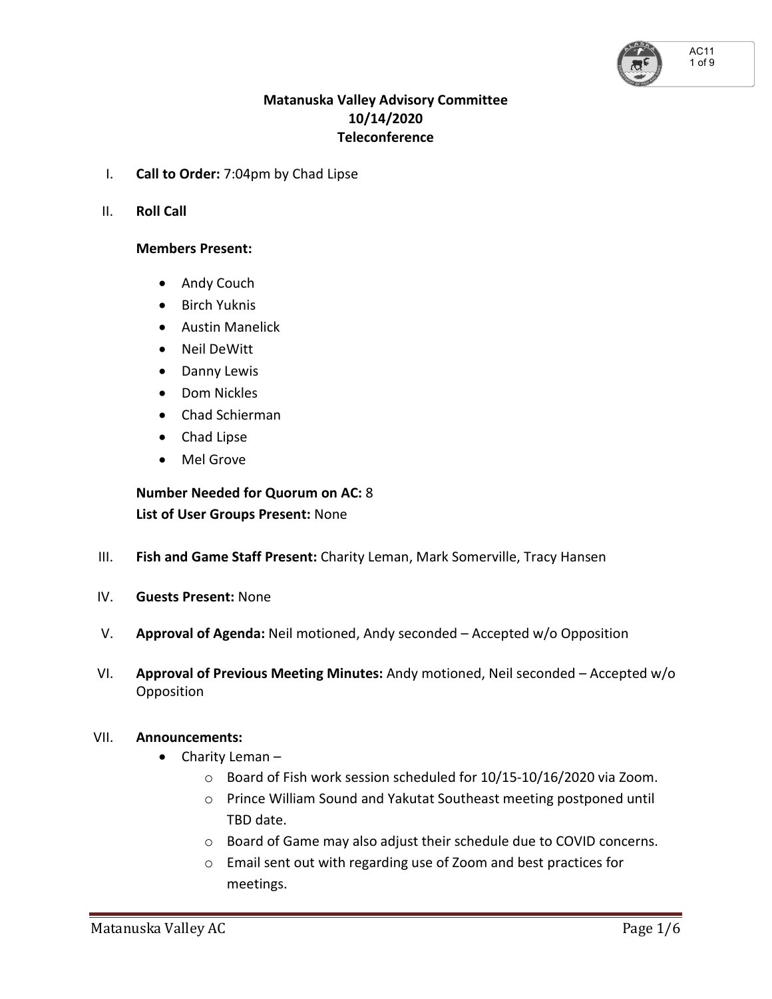AC11 1 of 9

## **Matanuska Valley Advisory Committee 10/14/2020 Teleconference**

- I. **Call to Order:** 7:04pm by Chad Lipse
- II. **Roll Call**

### **Members Present:**

- Andy Couch
- Birch Yuknis
- Austin Manelick
- Neil DeWitt
- Danny Lewis
- Dom Nickles
- Chad Schierman
- Chad Lipse
- Mel Grove

 **Number Needed for Quorum on AC:** 8  **List of User Groups Present:** None

- III. **Fish and Game Staff Present:** Charity Leman, Mark Somerville, Tracy Hansen
- IV. **Guests Present:** None
- V. **Approval of Agenda:** Neil motioned, Andy seconded Accepted w/o Opposition
- VI. **Approval of Previous Meeting Minutes:** Andy motioned, Neil seconded Accepted w/o **Opposition**

#### VII. **Announcements:**

- Charity Leman
	- o Board of Fish work session scheduled for 10/15-10/16/2020 via Zoom.
	- o Prince William Sound and Yakutat Southeast meeting postponed until TBD date.
	- o Board of Game may also adjust their schedule due to COVID concerns.
	- o Email sent out with regarding use of Zoom and best practices for meetings.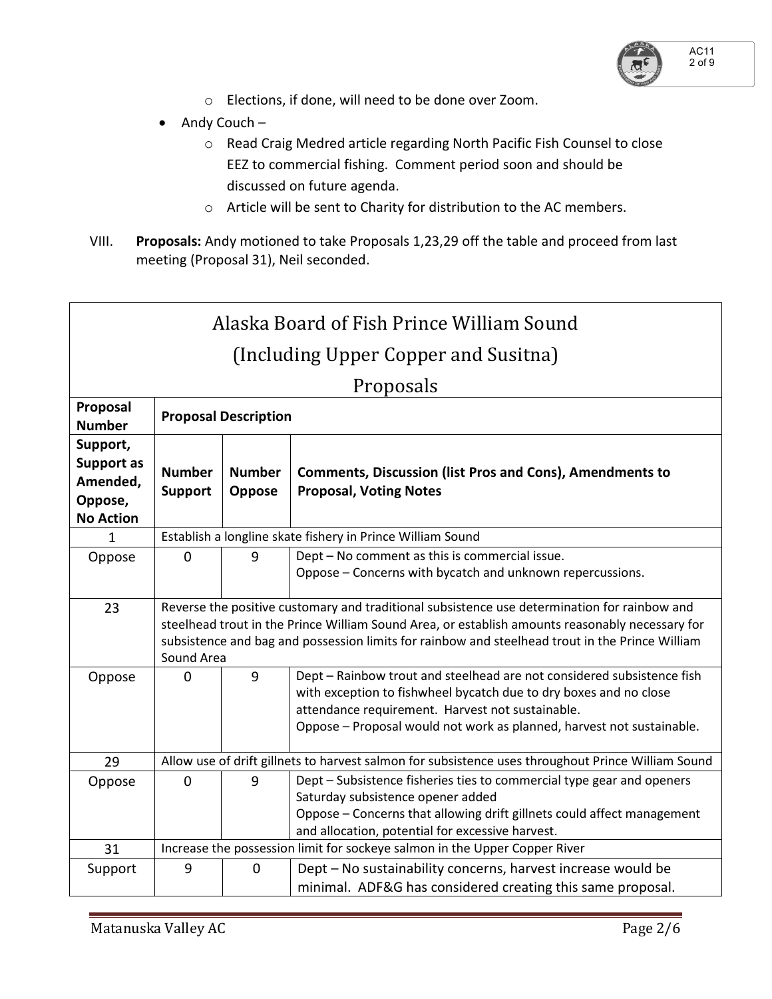

- o Elections, if done, will need to be done over Zoom.
- $\bullet$  Andy Couch
	- o Read Craig Medred article regarding North Pacific Fish Counsel to close EEZ to commercial fishing. Comment period soon and should be discussed on future agenda.
	- o Article will be sent to Charity for distribution to the AC members.
- VIII. **Proposals:** Andy motioned to take Proposals 1,23,29 off the table and proceed from last meeting (Proposal 31), Neil seconded.

| Alaska Board of Fish Prince William Sound                         |                                                                                                                                                                                                                                                                                                                  |                         |                                                                                                                                                                                                                                                                          |  |  |  |  |
|-------------------------------------------------------------------|------------------------------------------------------------------------------------------------------------------------------------------------------------------------------------------------------------------------------------------------------------------------------------------------------------------|-------------------------|--------------------------------------------------------------------------------------------------------------------------------------------------------------------------------------------------------------------------------------------------------------------------|--|--|--|--|
| (Including Upper Copper and Susitna)                              |                                                                                                                                                                                                                                                                                                                  |                         |                                                                                                                                                                                                                                                                          |  |  |  |  |
| Proposals                                                         |                                                                                                                                                                                                                                                                                                                  |                         |                                                                                                                                                                                                                                                                          |  |  |  |  |
| Proposal<br><b>Number</b>                                         | <b>Proposal Description</b>                                                                                                                                                                                                                                                                                      |                         |                                                                                                                                                                                                                                                                          |  |  |  |  |
| Support,<br>Support as<br>Amended,<br>Oppose,<br><b>No Action</b> | <b>Number</b><br><b>Support</b>                                                                                                                                                                                                                                                                                  | <b>Number</b><br>Oppose | <b>Comments, Discussion (list Pros and Cons), Amendments to</b><br><b>Proposal, Voting Notes</b>                                                                                                                                                                         |  |  |  |  |
| 1                                                                 | Establish a longline skate fishery in Prince William Sound                                                                                                                                                                                                                                                       |                         |                                                                                                                                                                                                                                                                          |  |  |  |  |
| Oppose                                                            | $\Omega$                                                                                                                                                                                                                                                                                                         | 9                       | Dept - No comment as this is commercial issue.<br>Oppose - Concerns with bycatch and unknown repercussions.                                                                                                                                                              |  |  |  |  |
| 23                                                                | Reverse the positive customary and traditional subsistence use determination for rainbow and<br>steelhead trout in the Prince William Sound Area, or establish amounts reasonably necessary for<br>subsistence and bag and possession limits for rainbow and steelhead trout in the Prince William<br>Sound Area |                         |                                                                                                                                                                                                                                                                          |  |  |  |  |
| Oppose                                                            | $\Omega$                                                                                                                                                                                                                                                                                                         | 9                       | Dept - Rainbow trout and steelhead are not considered subsistence fish<br>with exception to fishwheel bycatch due to dry boxes and no close<br>attendance requirement. Harvest not sustainable.<br>Oppose - Proposal would not work as planned, harvest not sustainable. |  |  |  |  |
| 29                                                                | Allow use of drift gillnets to harvest salmon for subsistence uses throughout Prince William Sound                                                                                                                                                                                                               |                         |                                                                                                                                                                                                                                                                          |  |  |  |  |
| Oppose                                                            | $\mathbf 0$                                                                                                                                                                                                                                                                                                      | 9                       | Dept - Subsistence fisheries ties to commercial type gear and openers<br>Saturday subsistence opener added<br>Oppose - Concerns that allowing drift gillnets could affect management<br>and allocation, potential for excessive harvest.                                 |  |  |  |  |
| 31                                                                | Increase the possession limit for sockeye salmon in the Upper Copper River                                                                                                                                                                                                                                       |                         |                                                                                                                                                                                                                                                                          |  |  |  |  |
| Support                                                           | 9                                                                                                                                                                                                                                                                                                                | $\overline{0}$          | Dept - No sustainability concerns, harvest increase would be<br>minimal. ADF&G has considered creating this same proposal.                                                                                                                                               |  |  |  |  |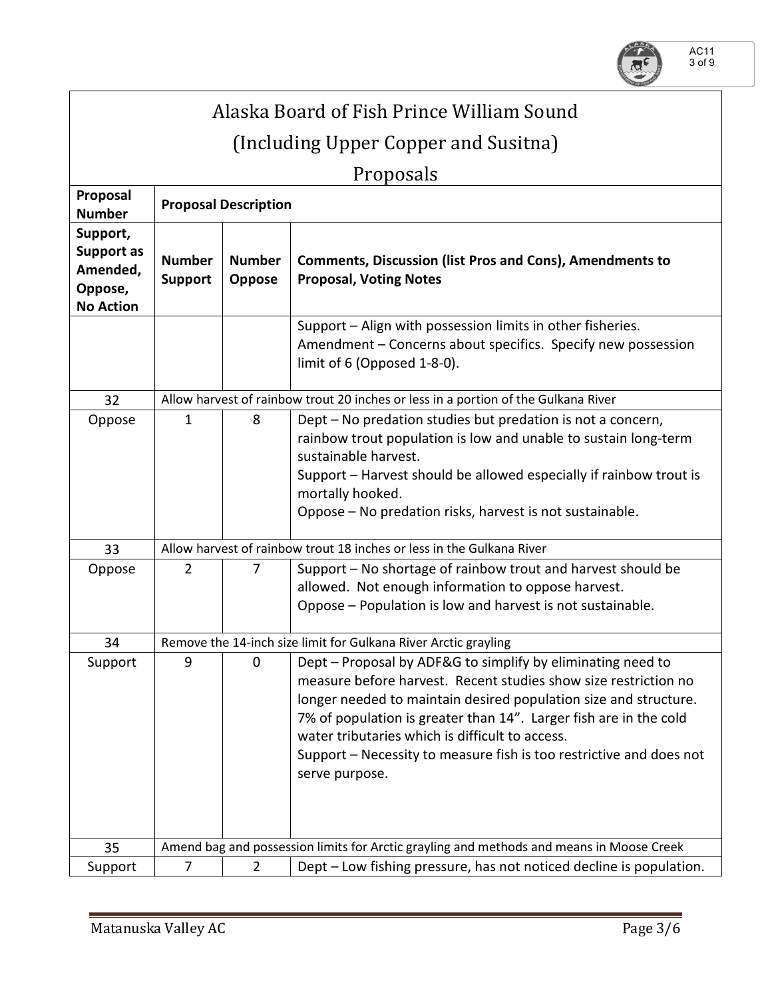

| Alaska Board of Fish Prince William Sound                         |                                                                                          |                                                                                    |                                                                                                                                                                                                                                                                                                                                                                                                                     |  |  |  |  |
|-------------------------------------------------------------------|------------------------------------------------------------------------------------------|------------------------------------------------------------------------------------|---------------------------------------------------------------------------------------------------------------------------------------------------------------------------------------------------------------------------------------------------------------------------------------------------------------------------------------------------------------------------------------------------------------------|--|--|--|--|
| (Including Upper Copper and Susitna)                              |                                                                                          |                                                                                    |                                                                                                                                                                                                                                                                                                                                                                                                                     |  |  |  |  |
|                                                                   |                                                                                          |                                                                                    |                                                                                                                                                                                                                                                                                                                                                                                                                     |  |  |  |  |
| Proposal<br><b>Number</b>                                         | Proposals<br><b>Proposal Description</b>                                                 |                                                                                    |                                                                                                                                                                                                                                                                                                                                                                                                                     |  |  |  |  |
| Support,<br>Support as<br>Amended,<br>Oppose,<br><b>No Action</b> | <b>Number</b><br><b>Support</b>                                                          | <b>Number</b><br><b>Oppose</b>                                                     | <b>Comments, Discussion (list Pros and Cons), Amendments to</b><br><b>Proposal, Voting Notes</b>                                                                                                                                                                                                                                                                                                                    |  |  |  |  |
|                                                                   |                                                                                          |                                                                                    | Support - Align with possession limits in other fisheries.<br>Amendment - Concerns about specifics. Specify new possession<br>limit of 6 (Opposed 1-8-0).                                                                                                                                                                                                                                                           |  |  |  |  |
| 32                                                                |                                                                                          | Allow harvest of rainbow trout 20 inches or less in a portion of the Gulkana River |                                                                                                                                                                                                                                                                                                                                                                                                                     |  |  |  |  |
| Oppose                                                            | $\mathbf{1}$                                                                             | 8                                                                                  | Dept - No predation studies but predation is not a concern,<br>rainbow trout population is low and unable to sustain long-term<br>sustainable harvest.<br>Support - Harvest should be allowed especially if rainbow trout is<br>mortally hooked.<br>Oppose - No predation risks, harvest is not sustainable.                                                                                                        |  |  |  |  |
| 33                                                                |                                                                                          | Allow harvest of rainbow trout 18 inches or less in the Gulkana River              |                                                                                                                                                                                                                                                                                                                                                                                                                     |  |  |  |  |
| Oppose                                                            | 2                                                                                        | 7                                                                                  | Support – No shortage of rainbow trout and harvest should be<br>allowed. Not enough information to oppose harvest.<br>Oppose - Population is low and harvest is not sustainable.                                                                                                                                                                                                                                    |  |  |  |  |
| 34                                                                | Remove the 14-inch size limit for Gulkana River Arctic grayling                          |                                                                                    |                                                                                                                                                                                                                                                                                                                                                                                                                     |  |  |  |  |
| Support                                                           | 9                                                                                        | 0                                                                                  | Dept - Proposal by ADF&G to simplify by eliminating need to<br>measure before harvest. Recent studies show size restriction no<br>longer needed to maintain desired population size and structure.<br>7% of population is greater than 14". Larger fish are in the cold<br>water tributaries which is difficult to access.<br>Support – Necessity to measure fish is too restrictive and does not<br>serve purpose. |  |  |  |  |
| 35                                                                | Amend bag and possession limits for Arctic grayling and methods and means in Moose Creek |                                                                                    |                                                                                                                                                                                                                                                                                                                                                                                                                     |  |  |  |  |
| Support                                                           | $\overline{7}$                                                                           | $\overline{2}$                                                                     | Dept - Low fishing pressure, has not noticed decline is population.                                                                                                                                                                                                                                                                                                                                                 |  |  |  |  |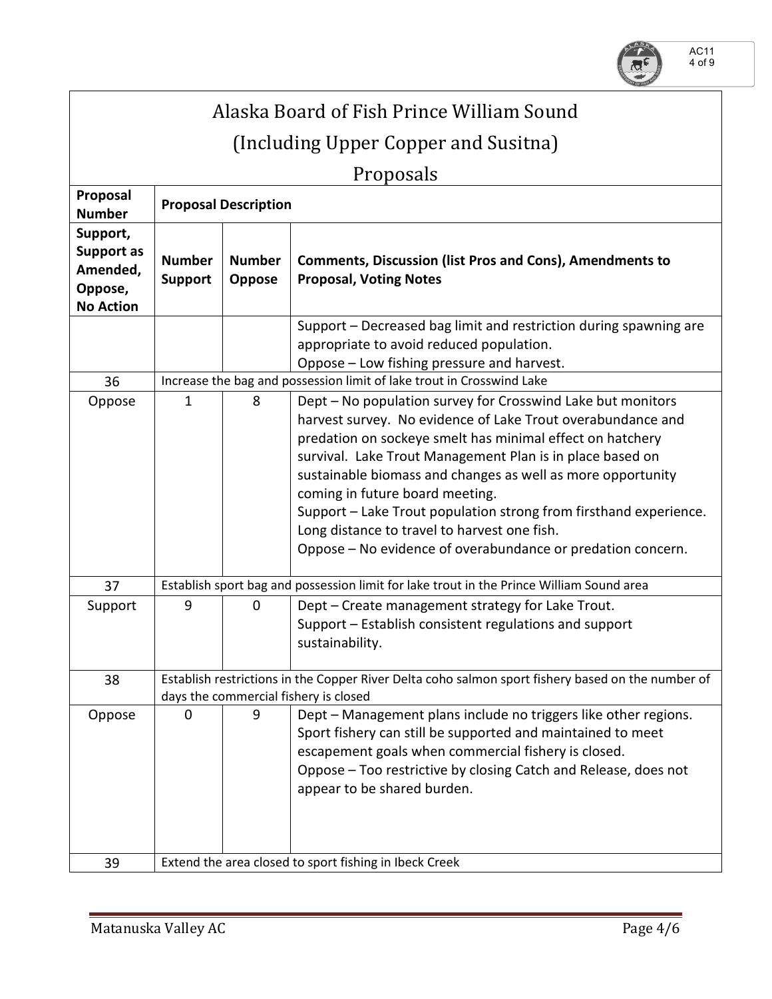

| Alaska Board of Fish Prince William Sound                         |                                                                                                                                            |                                |                                                                                                                                                                                                                                                                                                                                                                                                                                                                                                                                            |  |  |  |  |  |
|-------------------------------------------------------------------|--------------------------------------------------------------------------------------------------------------------------------------------|--------------------------------|--------------------------------------------------------------------------------------------------------------------------------------------------------------------------------------------------------------------------------------------------------------------------------------------------------------------------------------------------------------------------------------------------------------------------------------------------------------------------------------------------------------------------------------------|--|--|--|--|--|
| (Including Upper Copper and Susitna)                              |                                                                                                                                            |                                |                                                                                                                                                                                                                                                                                                                                                                                                                                                                                                                                            |  |  |  |  |  |
| Proposals                                                         |                                                                                                                                            |                                |                                                                                                                                                                                                                                                                                                                                                                                                                                                                                                                                            |  |  |  |  |  |
| Proposal<br><b>Number</b>                                         | <b>Proposal Description</b>                                                                                                                |                                |                                                                                                                                                                                                                                                                                                                                                                                                                                                                                                                                            |  |  |  |  |  |
| Support,<br>Support as<br>Amended,<br>Oppose,<br><b>No Action</b> | <b>Number</b><br><b>Support</b>                                                                                                            | <b>Number</b><br><b>Oppose</b> | <b>Comments, Discussion (list Pros and Cons), Amendments to</b><br><b>Proposal, Voting Notes</b>                                                                                                                                                                                                                                                                                                                                                                                                                                           |  |  |  |  |  |
|                                                                   |                                                                                                                                            |                                | Support – Decreased bag limit and restriction during spawning are<br>appropriate to avoid reduced population.<br>Oppose - Low fishing pressure and harvest.                                                                                                                                                                                                                                                                                                                                                                                |  |  |  |  |  |
| 36                                                                | Increase the bag and possession limit of lake trout in Crosswind Lake                                                                      |                                |                                                                                                                                                                                                                                                                                                                                                                                                                                                                                                                                            |  |  |  |  |  |
| Oppose                                                            | 1                                                                                                                                          | 8                              | Dept - No population survey for Crosswind Lake but monitors<br>harvest survey. No evidence of Lake Trout overabundance and<br>predation on sockeye smelt has minimal effect on hatchery<br>survival. Lake Trout Management Plan is in place based on<br>sustainable biomass and changes as well as more opportunity<br>coming in future board meeting.<br>Support - Lake Trout population strong from firsthand experience.<br>Long distance to travel to harvest one fish.<br>Oppose – No evidence of overabundance or predation concern. |  |  |  |  |  |
| 37                                                                | Establish sport bag and possession limit for lake trout in the Prince William Sound area                                                   |                                |                                                                                                                                                                                                                                                                                                                                                                                                                                                                                                                                            |  |  |  |  |  |
| Support                                                           | 9                                                                                                                                          | $\mathbf 0$                    | Dept - Create management strategy for Lake Trout.<br>Support - Establish consistent regulations and support<br>sustainability.                                                                                                                                                                                                                                                                                                                                                                                                             |  |  |  |  |  |
| 38                                                                | Establish restrictions in the Copper River Delta coho salmon sport fishery based on the number of<br>days the commercial fishery is closed |                                |                                                                                                                                                                                                                                                                                                                                                                                                                                                                                                                                            |  |  |  |  |  |
| Oppose                                                            | 0                                                                                                                                          | 9                              | Dept - Management plans include no triggers like other regions.<br>Sport fishery can still be supported and maintained to meet<br>escapement goals when commercial fishery is closed.<br>Oppose - Too restrictive by closing Catch and Release, does not<br>appear to be shared burden.                                                                                                                                                                                                                                                    |  |  |  |  |  |
| 39                                                                | Extend the area closed to sport fishing in Ibeck Creek                                                                                     |                                |                                                                                                                                                                                                                                                                                                                                                                                                                                                                                                                                            |  |  |  |  |  |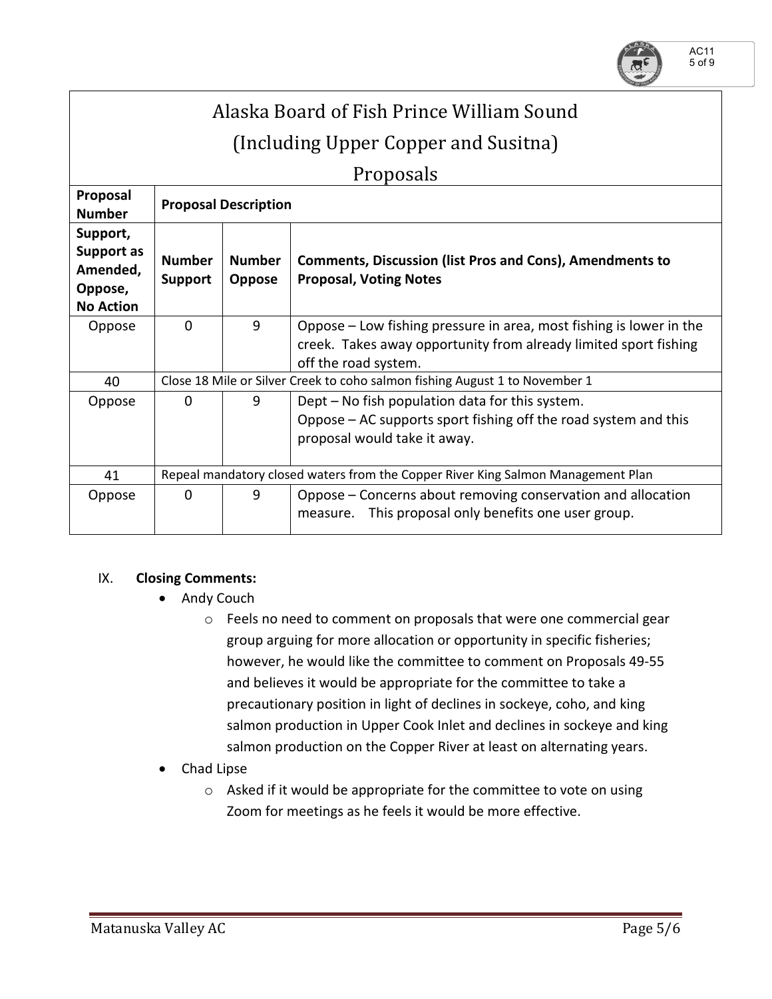

# Alaska Board of Fish Prince William Sound (Including Upper Copper and Susitna)

Proposals

| 1 T O DO JUIJ                                                     |                                                                                  |                                |                                                                                                                                                    |  |  |
|-------------------------------------------------------------------|----------------------------------------------------------------------------------|--------------------------------|----------------------------------------------------------------------------------------------------------------------------------------------------|--|--|
| Proposal<br><b>Number</b>                                         | <b>Proposal Description</b>                                                      |                                |                                                                                                                                                    |  |  |
| Support,<br>Support as<br>Amended,<br>Oppose,<br><b>No Action</b> | <b>Number</b><br><b>Support</b>                                                  | <b>Number</b><br><b>Oppose</b> | <b>Comments, Discussion (list Pros and Cons), Amendments to</b><br><b>Proposal, Voting Notes</b>                                                   |  |  |
| Oppose                                                            | $\Omega$                                                                         | 9                              | Oppose – Low fishing pressure in area, most fishing is lower in the<br>creek. Takes away opportunity from already limited sport fishing            |  |  |
|                                                                   |                                                                                  |                                | off the road system.                                                                                                                               |  |  |
| 40                                                                | Close 18 Mile or Silver Creek to coho salmon fishing August 1 to November 1      |                                |                                                                                                                                                    |  |  |
| Oppose                                                            | $\Omega$                                                                         | 9                              | Dept – No fish population data for this system.<br>Oppose – AC supports sport fishing off the road system and this<br>proposal would take it away. |  |  |
| 41                                                                | Repeal mandatory closed waters from the Copper River King Salmon Management Plan |                                |                                                                                                                                                    |  |  |
| Oppose                                                            | $\Omega$                                                                         | 9                              | Oppose – Concerns about removing conservation and allocation<br>This proposal only benefits one user group.<br>measure.                            |  |  |

## IX. **Closing Comments:**

- Andy Couch
	- o Feels no need to comment on proposals that were one commercial gear group arguing for more allocation or opportunity in specific fisheries; however, he would like the committee to comment on Proposals 49-55 and believes it would be appropriate for the committee to take a precautionary position in light of declines in sockeye, coho, and king salmon production in Upper Cook Inlet and declines in sockeye and king salmon production on the Copper River at least on alternating years.
- Chad Lipse
	- o Asked if it would be appropriate for the committee to vote on using Zoom for meetings as he feels it would be more effective.